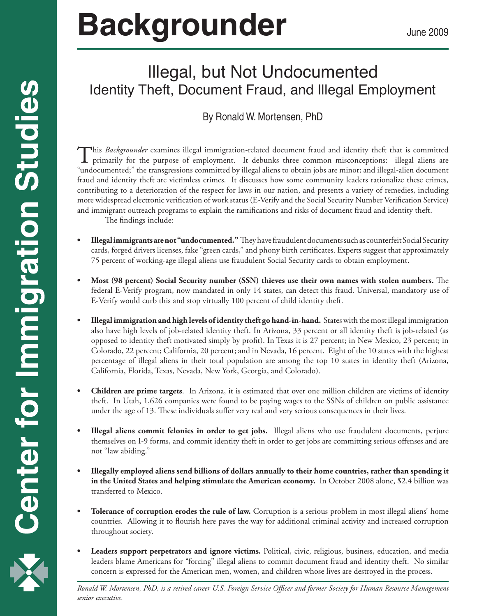# **Backgrounder** June 2009

# Illegal, but Not Undocumented Identity Theft, Document Fraud, and Illegal Employment

By Ronald W. Mortensen, PhD

This *Backgrounder* examines illegal immigration-related document fraud and identity theft that is committed primarily for the purpose of employment. It debunks three common misconceptions: illegal aliens are "undocumented;" the transgressions committed by illegal aliens to obtain jobs are minor; and illegal-alien document fraud and identity theft are victimless crimes. It discusses how some community leaders rationalize these crimes, contributing to a deterioration of the respect for laws in our nation, and presents a variety of remedies, including more widespread electronic verification of work status (E-Verify and the Social Security Number Verification Service) and immigrant outreach programs to explain the ramifications and risks of document fraud and identity theft.

The findings include:

- **• Illegalimmigrantsarenot"undocumented."** They have fraudulent documents such as counterfeit Social Security cards, forged drivers licenses, fake "green cards," and phony birth certificates. Experts suggest that approximately 75 percent of working-age illegal aliens use fraudulent Social Security cards to obtain employment.
- **• Most (98 percent) Social Security number (SSN) thieves use their own names with stolen numbers.** The federal E-Verify program, now mandated in only 14 states, can detect this fraud. Universal, mandatory use of E-Verify would curb this and stop virtually 100 percent of child identity theft.
- **• Illegal immigration and high levels ofidentity theft go hand-in-hand.** States with the most illegal immigration also have high levels of job-related identity theft. In Arizona, 33 percent or all identity theft is job-related (as opposed to identity theft motivated simply by profit). In Texas it is 27 percent; in New Mexico, 23 percent; in Colorado, 22 percent; California, 20 percent; and in Nevada, 16 percent. Eight of the 10 states with the highest percentage of illegal aliens in their total population are among the top 10 states in identity theft (Arizona, California, Florida, Texas, Nevada, New York, Georgia, and Colorado).
- **• Children are prime targets**. In Arizona, it is estimated that over one million children are victims of identity theft. In Utah, 1,626 companies were found to be paying wages to the SSNs of children on public assistance under the age of 13. These individuals suffer very real and very serious consequences in their lives.
- **• Illegal aliens commit felonies in order to get jobs.** Illegal aliens who use fraudulent documents, perjure themselves on I-9 forms, and commit identity theft in order to get jobs are committing serious offenses and are not "law abiding."
- **• Illegally employed aliens send billions of dollars annually to their home countries, rather than spending it in the United States and helping stimulate the American economy.** In October 2008 alone, \$2.4 billion was transferred to Mexico.
- **Tolerance of corruption erodes the rule of law.** Corruption is a serious problem in most illegal aliens' home countries. Allowing it to flourish here paves the way for additional criminal activity and increased corruption throughout society.
- **• Leaders support perpetrators and ignore victims.** Political, civic, religious, business, education, and media leaders blame Americans for "forcing" illegal aliens to commit document fraud and identity theft. No similar concern is expressed for the American men, women, and children whose lives are destroyed in the process.

 *Ronald W. Mortensen, PhD, is a retired career U.S. Foreign Service Officer and former Society for Human Resource Management senior executive.*

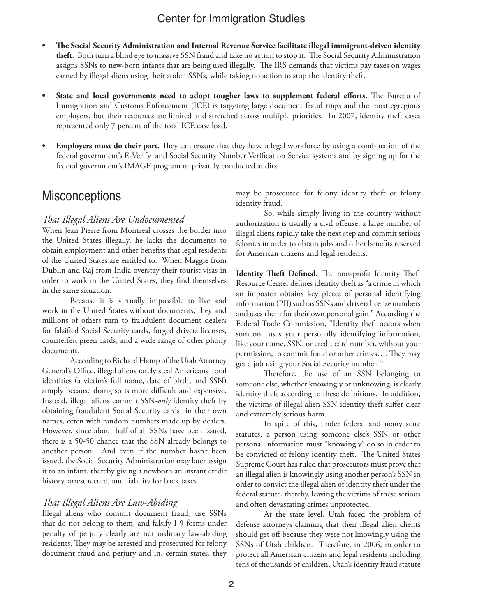- **• The Social Security Administration and Internal Revenue Service facilitate illegal immigrant-driven identity theft**. Both turn a blind eye to massive SSN fraud and take no action to stop it. The Social Security Administration assigns SSNs to new-born infants that are being used illegally. The IRS demands that victims pay taxes on wages earned by illegal aliens using their stolen SSNs, while taking no action to stop the identity theft.
- **• State and local governments need to adopt tougher laws to supplement federal efforts.** The Bureau of Immigration and Customs Enforcement (ICE) is targeting large document fraud rings and the most egregious employers, but their resources are limited and stretched across multiple priorities. In 2007, identity theft cases represented only 7 percent of the total ICE case load.
- **Employers must do their part.** They can ensure that they have a legal workforce by using a combination of the federal government's E-Verify and Social Security Number Verification Service systems and by signing up for the federal government's IMAGE program or privately conducted audits.

# **Misconceptions**

#### *That Illegal Aliens Are Undocumented*

When Jean Pierre from Montreal crosses the border into the United States illegally, he lacks the documents to obtain employment and other benefits that legal residents of the United States are entitled to. When Maggie from Dublin and Raj from India overstay their tourist visas in order to work in the United States, they find themselves in the same situation.

Because it is virtually impossible to live and work in the United States without documents, they and millions of others turn to fraudulent document dealers for falsified Social Security cards, forged drivers licenses, counterfeit green cards, and a wide range of other phony documents.

According to Richard Hamp of the Utah Attorney General's Office, illegal aliens rarely steal Americans' total identities (a victim's full name, date of birth, and SSN) simply because doing so is more difficult and expensive. Instead, illegal aliens commit SSN*-only* identity theft by obtaining fraudulent Social Security cards in their own names, often with random numbers made up by dealers. However, since about half of all SSNs have been issued, there is a 50-50 chance that the SSN already belongs to another person. And even if the number hasn't been issued, the Social Security Administration may later assign it to an infant, thereby giving a newborn an instant credit history, arrest record, and liability for back taxes.

#### *That Illegal Aliens Are Law-Abiding*

Illegal aliens who commit document fraud, use SSNs that do not belong to them, and falsify I-9 forms under penalty of perjury clearly are not ordinary law-abiding residents. They may be arrested and prosecuted for felony document fraud and perjury and in, certain states, they may be prosecuted for felony identity theft or felony identity fraud.

So, while simply living in the country without authorization is usually a civil offense, a large number of illegal aliens rapidly take the next step and commit serious felonies in order to obtain jobs and other benefits reserved for American citizens and legal residents.

**Identity Theft Defined.** The non-profit Identity Theft Resource Center defines identity theft as "a crime in which an impostor obtains key pieces of personal identifying information (PII) such as SSNs and drivers license numbers and uses them for their own personal gain." According the Federal Trade Commission, "Identity theft occurs when someone uses your personally identifying information, like your name, SSN, or credit card number, without your permission, to commit fraud or other crimes…. They may get a job using your Social Security number."1

Therefore, the use of an SSN belonging to someone else, whether knowingly or unknowing, is clearly identity theft according to these definitions. In addition, the victims of illegal alien SSN identity theft suffer clear and extremely serious harm.

In spite of this, under federal and many state statutes, a person using someone else's SSN or other personal information must "knowingly" do so in order to be convicted of felony identity theft. The United States Supreme Court has ruled that prosecutors must prove that an illegal alien is knowingly using another person's SSN in order to convict the illegal alien of identity theft under the federal statute, thereby, leaving the victims of these serious and often devastating crimes unprotected.

At the state level, Utah faced the problem of defense attorneys claiming that their illegal alien clients should get off because they were not knowingly using the SSNs of Utah children. Therefore, in 2006, in order to protect all American citizens and legal residents including tens of thousands of children, Utah's identity fraud statute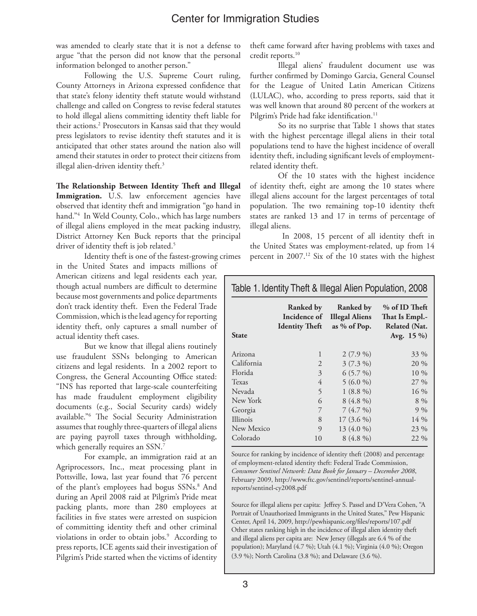was amended to clearly state that it is not a defense to argue "that the person did not know that the personal information belonged to another person."

Following the U.S. Supreme Court ruling, County Attorneys in Arizona expressed confidence that that state's felony identity theft statute would withstand challenge and called on Congress to revise federal statutes to hold illegal aliens committing identity theft liable for their actions.2 Prosecutors in Kansas said that they would press legislators to revise identity theft statutes and it is anticipated that other states around the nation also will amend their statutes in order to protect their citizens from illegal alien-driven identity theft.<sup>3</sup>

**The Relationship Between Identity Theft and Illegal** Immigration. U.S. law enforcement agencies have observed that identity theft and immigration "go hand in hand."4 In Weld County, Colo., which has large numbers of illegal aliens employed in the meat packing industry, District Attorney Ken Buck reports that the principal driver of identity theft is job related.<sup>5</sup>

Identity theft is one of the fastest-growing crimes in the United States and impacts millions of

American citizens and legal residents each year, though actual numbers are difficult to determine because most governments and police departments don't track identity theft. Even the Federal Trade Commission, which is the lead agency for reporting identity theft, only captures a small number of actual identity theft cases.

But we know that illegal aliens routinely use fraudulent SSNs belonging to American citizens and legal residents. In a 2002 report to Congress, the General Accounting Office stated: "INS has reported that large-scale counterfeiting has made fraudulent employment eligibility documents (e.g., Social Security cards) widely available."6 The Social Security Administration assumes that roughly three-quarters of illegal aliens are paying payroll taxes through withholding, which generally requires an SSN.<sup>7</sup>

For example, an immigration raid at an Agriprocessors, Inc., meat processing plant in Pottsville, Iowa, last year found that 76 percent of the plant's employees had bogus SSNs.<sup>8</sup> And during an April 2008 raid at Pilgrim's Pride meat packing plants, more than 280 employees at facilities in five states were arrested on suspicion of committing identity theft and other criminal violations in order to obtain jobs.9 According to press reports, ICE agents said their investigation of Pilgrim's Pride started when the victims of identity

theft came forward after having problems with taxes and credit reports.<sup>10</sup>

Illegal aliens' fraudulent document use was further confirmed by Domingo Garcia, General Counsel for the League of United Latin American Citizens (LULAC), who, according to press reports, said that it was well known that around 80 percent of the workers at Pilgrim's Pride had fake identification.<sup>11</sup>

So its no surprise that Table 1 shows that states with the highest percentage illegal aliens in their total populations tend to have the highest incidence of overall identity theft, including significant levels of employmentrelated identity theft.

Of the 10 states with the highest incidence of identity theft, eight are among the 10 states where illegal aliens account for the largest percentages of total population. The two remaining top-10 identity theft states are ranked 13 and 17 in terms of percentage of illegal aliens.

 In 2008, 15 percent of all identity theft in the United States was employment-related, up from 14 percent in 2007.<sup>12</sup> Six of the 10 states with the highest

#### Table 1. Identity Theft & Illegal Alien Population, 2008

| State      | Ranked by<br>Incidence of<br><b>Identity Theft</b> | Ranked by<br><b>Illegal Aliens</b><br>as % of Pop. | % of ID Theft<br>That Is Empl.-<br>Related (Nat.<br>Avg. $15\%$ |
|------------|----------------------------------------------------|----------------------------------------------------|-----------------------------------------------------------------|
| Arizona    | $\mathbf{1}$                                       | $2(7.9\%)$                                         | 33 %                                                            |
| California | $\overline{2}$                                     | $3(7.3\%)$                                         | 20 %                                                            |
| Florida    | 3                                                  | $6(5.7\%)$                                         | $10\%$                                                          |
| Texas      | 4                                                  | $5(6.0\%)$                                         | 27 %                                                            |
| Nevada     | 5                                                  | $1(8.8\%)$                                         | 16 %                                                            |
| New York   | 6                                                  | $8(4.8\%)$                                         | 8 %                                                             |
| Georgia    | 7                                                  | 7(4.7%)                                            | 9%                                                              |
| Illinois   | 8                                                  | $17(3.6\%)$                                        | $14\%$                                                          |
| New Mexico | 9                                                  | 13 (4.0 %)                                         | 23 %                                                            |
| Colorado   | 10                                                 | $8(4.8\%)$                                         | 22 %                                                            |
|            |                                                    |                                                    |                                                                 |

Source for ranking by incidence of identity theft (2008) and percentage of employment-related identity theft: Federal Trade Commission, *Consumer Sentinel Network: Data Book for January – December 2008*, February 2009, http://www.ftc.gov/sentinel/reports/sentinel-annualreports/sentinel-cy2008.pdf

Source for illegal aliens per capita: Jeffrey S. Passel and D'Vera Cohen, "A Portrait of Unauthorized Immigrants in the United States," Pew Hispanic Center, April 14, 2009, http://pewhispanic.org/files/reports/107.pdf Other states ranking high in the incidence of illegal alien identity theft and illegal aliens per capita are: New Jersey (illegals are 6.4 % of the population); Maryland (4.7 %); Utah (4.1 %); Virginia (4.0 %); Oregon (3.9 %); North Carolina (3.8 %); and Delaware (3.6 %).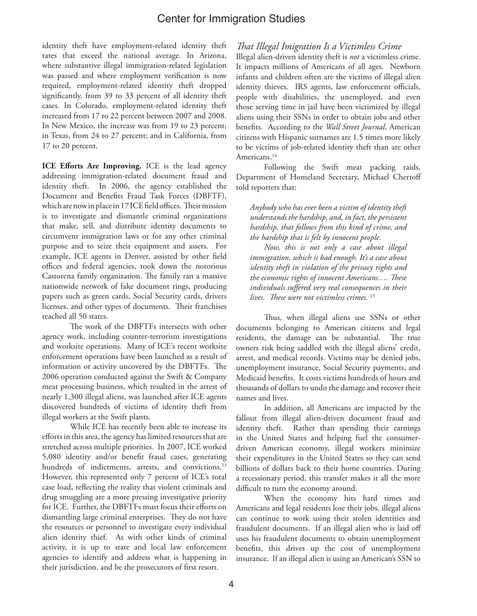identity theft have employment-related identity theft rates that exceed the national average. In Arizona, where substantive illegal immigration-related legislation was passed and where employment verification is now required, employment-related identity theft dropped significantly, from 39 to 33 percent of all identity theft cases. In Colorado, employment-related identity theft increased from 17 to 22 percent between 2007 and 2008. In New Mexico, the increase was from 19 to 23 percent; in Texas, from 24 to 27 percent; and in California, from 17 to 20 percent.

**ICE Efforts Are Improving.** ICE is the lead agency addressing immigration-related document fraud and identity theft. In 2006, the agency established the Document and Benefits Fraud Task Forces (DBFTF), which are now in place in 17 ICE field offices. Their mission is to investigate and dismantle criminal organizations that make, sell, and distribute identity documents to circumvent immigration laws or for any other criminal purpose and to seize their equipment and assets. For example, ICE agents in Denver, assisted by other field offices and federal agencies, took down the notorious Castorena family organization. The family ran a massive nationwide network of fake document rings, producing papers such as green cards, Social Security cards, drivers licenses, and other types of documents. Their franchises reached all 50 states.

The work of the DBFTFs intersects with other agency work, including counter-terrorism investigations and worksite operations. Many of ICE's recent worksite enforcement operations have been launched as a result of information or activity uncovered by the DBFTFs. The 2006 operation conducted against the Swift & Company meat processing business, which resulted in the arrest of nearly 1,300 illegal aliens, was launched after ICE agents discovered hundreds of victims of identity theft from illegal workers at the Swift plants.

While ICE has recently been able to increase its efforts in this area, the agency has limited resources that are stretched across multiple priorities. In 2007, ICE worked 5,080 identity and/or benefit fraud cases, generating hundreds of indictments, arrests, and convictions.<sup>13</sup> However, this represented only 7 percent of ICE's total case load, reflecting the reality that violent criminals and drug smuggling are a more pressing investigative priority for ICE. Further, the DBFTFs must focus their efforts on dismantling large criminal enterprises. They do not have the resources or personnel to investigate every individual alien identity thief. As with other kinds of criminal activity, it is up to state and local law enforcement agencies to identify and address what is happening in their jurisdiction, and be the prosecutors of first resort.

#### *That Illegal Imigration Is a Victimless Crime*

Illegal alien-driven identity theft is *not* a victimless crime. It impacts millions of Americans of all ages. Newborn infants and children often are the victims of illegal alien identity thieves. IRS agents, law enforcement officials, people with disabilities, the unemployed, and even those serving time in jail have been victimized by illegal aliens using their SSNs in order to obtain jobs and other benefits. According to the *Wall Street Journal*, American citizens with Hispanic surnames are 1.5 times more likely to be victims of job-related identity theft than are other Americans.<sup>14</sup>

Following the Swift meat packing raids, Department of Homeland Secretary, Michael Chertoff told reporters that:

*Anybody who has ever been a victim of identity theft understands the hardship, and, in fact, the persistent hardship, that follows from this kind of crime, and the hardship that is felt by innocent people.* 

*Now, this is not only a case about illegal immigration, which is bad enough. It's a case about identity theft in violation of the privacy rights and the economic rights of innocent Americans…. These individuals suffered very real consequences in their lives. These were not victimless crimes.* <sup>15</sup>

Thus, when illegal aliens use SSNs or other documents belonging to American citizens and legal residents, the damage can be substantial. The true owners risk being saddled with the illegal aliens' credit, arrest, and medical records. Victims may be denied jobs, unemployment insurance, Social Security payments, and Medicaid benefits. It costs victims hundreds of hours and thousands of dollars to undo the damage and recover their names and lives.

In addition, all Americans are impacted by the fallout from illegal alien-driven document fraud and identity theft. Rather than spending their earnings in the United States and helping fuel the consumerdriven American economy, illegal workers minimize their expenditures in the United States so they can send billions of dollars back to their home countries. During a recessionary period, this transfer makes it all the more difficult to turn the economy around.

When the economy hits hard times and Americans and legal residents lose their jobs, illegal aliens can continue to work using their stolen identities and fraudulent documents. If an illegal alien who is laid off uses his fraudulent documents to obtain unemployment benefits, this drives up the cost of unemployment insurance. If an illegal alien is using an American's SSN to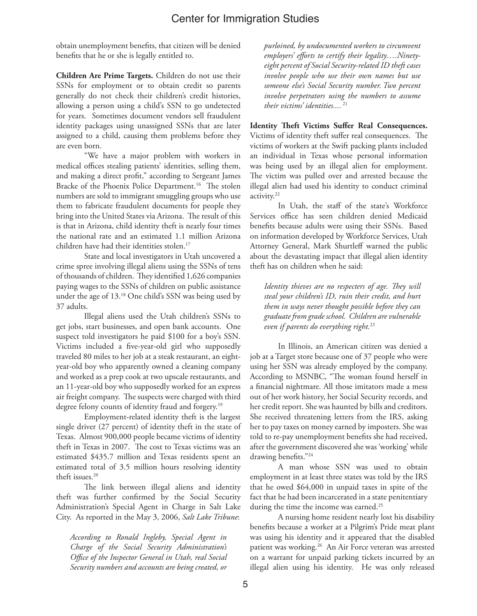obtain unemployment benefits, that citizen will be denied benefits that he or she is legally entitled to.

**Children Are Prime Targets.** Children do not use their SSNs for employment or to obtain credit so parents generally do not check their children's credit histories, allowing a person using a child's SSN to go undetected for years. Sometimes document vendors sell fraudulent identity packages using unassigned SSNs that are later assigned to a child, causing them problems before they are even born.

"We have a major problem with workers in medical offices stealing patients' identities, selling them, and making a direct profit," according to Sergeant James Bracke of the Phoenix Police Department.<sup>16</sup> The stolen numbers are sold to immigrant smuggling groups who use them to fabricate fraudulent documents for people they bring into the United States via Arizona. The result of this is that in Arizona, child identity theft is nearly four times the national rate and an estimated 1.1 million Arizona children have had their identities stolen.17

State and local investigators in Utah uncovered a crime spree involving illegal aliens using the SSNs of tens of thousands of children. They identified 1,626 companies paying wages to the SSNs of children on public assistance under the age of 13.18 One child's SSN was being used by 37 adults.

Illegal aliens used the Utah children's SSNs to get jobs, start businesses, and open bank accounts. One suspect told investigators he paid \$100 for a boy's SSN. Victims included a five-year-old girl who supposedly traveled 80 miles to her job at a steak restaurant, an eightyear-old boy who apparently owned a cleaning company and worked as a prep cook at two upscale restaurants, and an 11-year-old boy who supposedly worked for an express air freight company. The suspects were charged with third degree felony counts of identity fraud and forgery.<sup>19</sup>

Employment-related identity theft is the largest single driver (27 percent) of identity theft in the state of Texas. Almost 900,000 people became victims of identity theft in Texas in 2007. The cost to Texas victims was an estimated \$435.7 million and Texas residents spent an estimated total of 3.5 million hours resolving identity theft issues.<sup>20</sup>

The link between illegal aliens and identity theft was further confirmed by the Social Security Administration's Special Agent in Charge in Salt Lake City. As reported in the May 3, 2006, *Salt Lake Tribune*:

*According to Ronald Ingleby, Special Agent in Charge of the Social Security Administration's Office of the Inspector General in Utah, real Social Security numbers and accounts are being created, or*  *purloined, by undocumented workers to circumvent employers' efforts to certify their legality….Ninetyeight percent of Social Security-related ID theft cases involve people who use their own names but use someone else's Social Security number. Two percent involve perpetrators using the numbers to assume their victims' identities....*<sup>21</sup>

**Identity Theft Victims Suffer Real Consequences.** Victims of identity theft suffer real consequences. The victims of workers at the Swift packing plants included an individual in Texas whose personal information was being used by an illegal alien for employment. The victim was pulled over and arrested because the illegal alien had used his identity to conduct criminal activity.22

In Utah, the staff of the state's Workforce Services office has seen children denied Medicaid benefits because adults were using their SSNs. Based on information developed by Workforce Services, Utah Attorney General, Mark Shurtleff warned the public about the devastating impact that illegal alien identity theft has on children when he said:

*Identity thieves are no respecters of age. They will steal your children's ID, ruin their credit, and hurt them in ways never thought possible before they can graduate from grade school. Children are vulnerable even if parents do everything right.*<sup>23</sup>

In Illinois, an American citizen was denied a job at a Target store because one of 37 people who were using her SSN was already employed by the company. According to MSNBC, "The woman found herself in a financial nightmare. All those imitators made a mess out of her work history, her Social Security records, and her credit report. She was haunted by bills and creditors. She received threatening letters from the IRS, asking her to pay taxes on money earned by imposters. She was told to re-pay unemployment benefits she had received, after the government discovered she was 'working' while drawing benefits."24

A man whose SSN was used to obtain employment in at least three states was told by the IRS that he owed \$64,000 in unpaid taxes in spite of the fact that he had been incarcerated in a state penitentiary during the time the income was earned.<sup>25</sup>

A nursing home resident nearly lost his disability benefits because a worker at a Pilgrim's Pride meat plant was using his identity and it appeared that the disabled patient was working.<sup>26</sup> An Air Force veteran was arrested on a warrant for unpaid parking tickets incurred by an illegal alien using his identity. He was only released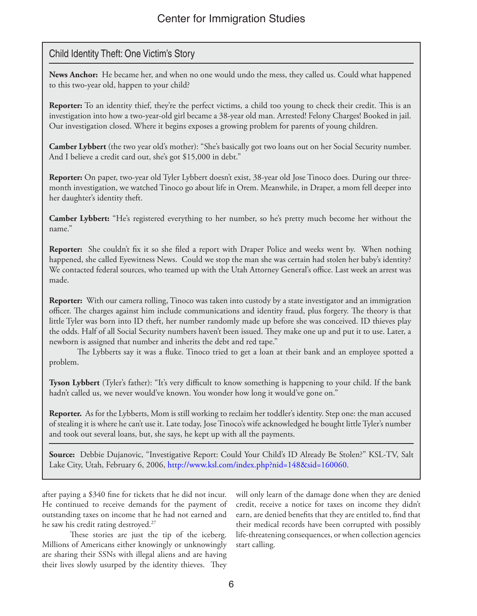## Child Identity Theft: One Victim's Story

**News Anchor:** He became her, and when no one would undo the mess, they called us. Could what happened to this two-year old, happen to your child?

**Reporter:** To an identity thief, they're the perfect victims, a child too young to check their credit. This is an investigation into how a two-year-old girl became a 38-year old man. Arrested! Felony Charges! Booked in jail. Our investigation closed. Where it begins exposes a growing problem for parents of young children.

**Camber Lybbert** (the two year old's mother): "She's basically got two loans out on her Social Security number. And I believe a credit card out, she's got \$15,000 in debt."

**Reporter:** On paper, two-year old Tyler Lybbert doesn't exist, 38-year old Jose Tinoco does. During our threemonth investigation, we watched Tinoco go about life in Orem. Meanwhile, in Draper, a mom fell deeper into her daughter's identity theft.

**Camber Lybbert:** "He's registered everything to her number, so he's pretty much become her without the name."

**Reporter:** She couldn't fix it so she filed a report with Draper Police and weeks went by. When nothing happened, she called Eyewitness News. Could we stop the man she was certain had stolen her baby's identity? We contacted federal sources, who teamed up with the Utah Attorney General's office. Last week an arrest was made.

**Reporter:** With our camera rolling, Tinoco was taken into custody by a state investigator and an immigration officer. The charges against him include communications and identity fraud, plus forgery. The theory is that little Tyler was born into ID theft, her number randomly made up before she was conceived. ID thieves play the odds. Half of all Social Security numbers haven't been issued. They make one up and put it to use. Later, a newborn is assigned that number and inherits the debt and red tape."

The Lybberts say it was a fluke. Tinoco tried to get a loan at their bank and an employee spotted a problem.

**Tyson Lybbert** (Tyler's father): "It's very difficult to know something is happening to your child. If the bank hadn't called us, we never would've known. You wonder how long it would've gone on."

**Reporter.** As for the Lybberts, Mom is still working to reclaim her toddler's identity. Step one: the man accused of stealing it is where he can't use it. Late today, Jose Tinoco's wife acknowledged he bought little Tyler's number and took out several loans, but, she says, he kept up with all the payments.

**Source:** Debbie Dujanovic, "Investigative Report: Could Your Child's ID Already Be Stolen?" KSL-TV, Salt Lake City, Utah, February 6, 2006, http://www.ksl.com/index.php?nid=148&sid=160060.

after paying a \$340 fine for tickets that he did not incur. He continued to receive demands for the payment of outstanding taxes on income that he had not earned and he saw his credit rating destroyed.27

These stories are just the tip of the iceberg. Millions of Americans either knowingly or unknowingly are sharing their SSNs with illegal aliens and are having their lives slowly usurped by the identity thieves. They

will only learn of the damage done when they are denied credit, receive a notice for taxes on income they didn't earn, are denied benefits that they are entitled to, find that their medical records have been corrupted with possibly life-threatening consequences, or when collection agencies start calling.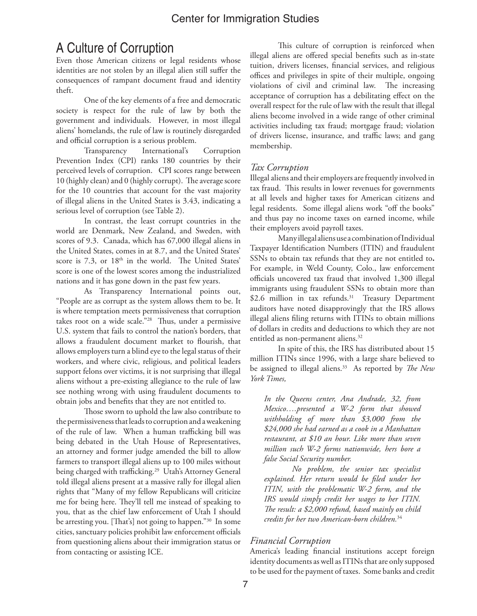# A Culture of Corruption

Even those American citizens or legal residents whose identities are not stolen by an illegal alien still suffer the consequences of rampant document fraud and identity theft.

One of the key elements of a free and democratic society is respect for the rule of law by both the government and individuals. However, in most illegal aliens' homelands, the rule of law is routinely disregarded and official corruption is a serious problem.

Transparency International's Corruption Prevention Index (CPI) ranks 180 countries by their perceived levels of corruption. CPI scores range between 10 (highly clean) and 0 (highly corrupt). The average score for the 10 countries that account for the vast majority of illegal aliens in the United States is 3.43, indicating a serious level of corruption (see Table 2).

In contrast, the least corrupt countries in the world are Denmark, New Zealand, and Sweden, with scores of 9.3. Canada, which has 67,000 illegal aliens in the United States, comes in at 8.7, and the United States' score is 7.3, or 18<sup>th</sup> in the world. The United States' score is one of the lowest scores among the industrialized nations and it has gone down in the past few years.

As Transparency International points out, "People are as corrupt as the system allows them to be. It is where temptation meets permissiveness that corruption takes root on a wide scale."28 Thus, under a permissive U.S. system that fails to control the nation's borders, that allows a fraudulent document market to flourish, that allows employers turn a blind eye to the legal status of their workers, and where civic, religious, and political leaders support felons over victims, it is not surprising that illegal aliens without a pre-existing allegiance to the rule of law see nothing wrong with using fraudulent documents to obtain jobs and benefits that they are not entitled to.

Those sworn to uphold the law also contribute to the permissiveness that leads to corruption and a weakening of the rule of law. When a human trafficking bill was being debated in the Utah House of Representatives, an attorney and former judge amended the bill to allow farmers to transport illegal aliens up to 100 miles without being charged with trafficking.<sup>29</sup> Utah's Attorney General told illegal aliens present at a massive rally for illegal alien rights that "Many of my fellow Republicans will criticize me for being here. They'll tell me instead of speaking to you, that as the chief law enforcement of Utah I should be arresting you. [That's] not going to happen."30 In some cities, sanctuary policies prohibit law enforcement officials from questioning aliens about their immigration status or from contacting or assisting ICE.

This culture of corruption is reinforced when illegal aliens are offered special benefits such as in-state tuition, drivers licenses, financial services, and religious offices and privileges in spite of their multiple, ongoing violations of civil and criminal law. The increasing acceptance of corruption has a debilitating effect on the overall respect for the rule of law with the result that illegal aliens become involved in a wide range of other criminal activities including tax fraud; mortgage fraud; violation of drivers license, insurance, and traffic laws; and gang membership.

## *Tax Corruption*

Illegal aliens and their employers are frequently involved in tax fraud. This results in lower revenues for governments at all levels and higher taxes for American citizens and legal residents. Some illegal aliens work "off the books" and thus pay no income taxes on earned income, while their employers avoid payroll taxes.

Many illegal aliens use a combination of Individual Taxpayer Identification Numbers (ITIN) and fraudulent SSNs to obtain tax refunds that they are not entitled to**.** For example, in Weld County, Colo., law enforcement officials uncovered tax fraud that involved 1,300 illegal immigrants using fraudulent SSNs to obtain more than \$2.6 million in tax refunds.<sup>31</sup> Treasury Department auditors have noted disapprovingly that the IRS allows illegal aliens filing returns with ITINs to obtain millions of dollars in credits and deductions to which they are not entitled as non-permanent aliens.<sup>32</sup>

In spite of this, the IRS has distributed about 15 million ITINs since 1996, with a large share believed to be assigned to illegal aliens.<sup>33</sup> As reported by *The New York Times,* 

*In the Queens center, Ana Andrade, 32, from Mexico….presented a W-2 form that showed withholding of more than \$3,000 from the \$24,000 she had earned as a cook in a Manhattan restaurant, at \$10 an hour. Like more than seven million such W-2 forms nationwide, hers bore a false Social Security number.*

*No problem, the senior tax specialist explained. Her return would be filed under her ITIN, with the problematic W-2 form, and the IRS would simply credit her wages to her ITIN. The result: a \$2,000 refund, based mainly on child credits for her two American-born children.*<sup>34</sup>

#### *Financial Corruption*

America's leading financial institutions accept foreign identity documents as well as ITINs that are only supposed to be used for the payment of taxes. Some banks and credit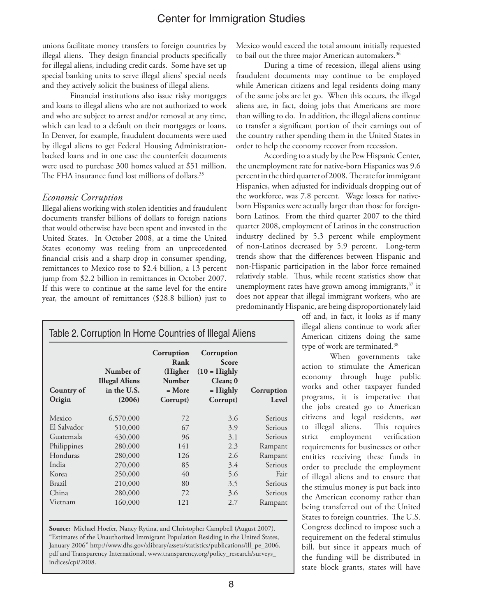unions facilitate money transfers to foreign countries by illegal aliens. They design financial products specifically for illegal aliens, including credit cards. Some have set up special banking units to serve illegal aliens' special needs and they actively solicit the business of illegal aliens.

Financial institutions also issue risky mortgages and loans to illegal aliens who are not authorized to work and who are subject to arrest and/or removal at any time, which can lead to a default on their mortgages or loans. In Denver, for example, fraudulent documents were used by illegal aliens to get Federal Housing Administrationbacked loans and in one case the counterfeit documents were used to purchase 300 homes valued at \$51 million. The FHA insurance fund lost millions of dollars.<sup>35</sup>

#### *Economic Corruption*

Illegal aliens working with stolen identities and fraudulent documents transfer billions of dollars to foreign nations that would otherwise have been spent and invested in the United States. In October 2008, at a time the United States economy was reeling from an unprecedented financial crisis and a sharp drop in consumer spending, remittances to Mexico rose to \$2.4 billion, a 13 percent jump from \$2.2 billion in remittances in October 2007. If this were to continue at the same level for the entire year, the amount of remittances (\$28.8 billion) just to Mexico would exceed the total amount initially requested to bail out the three major American automakers.<sup>36</sup>

During a time of recession, illegal aliens using fraudulent documents may continue to be employed while American citizens and legal residents doing many of the same jobs are let go. When this occurs, the illegal aliens are, in fact, doing jobs that Americans are more than willing to do. In addition, the illegal aliens continue to transfer a significant portion of their earnings out of the country rather spending them in the United States in order to help the economy recover from recession.

According to a study by the Pew Hispanic Center, the unemployment rate for native-born Hispanics was 9.6 percent in the third quarter of 2008. The rate for immigrant Hispanics, when adjusted for individuals dropping out of the workforce, was 7.8 percent. Wage losses for nativeborn Hispanics were actually larger than those for foreignborn Latinos. From the third quarter 2007 to the third quarter 2008, employment of Latinos in the construction industry declined by 5.3 percent while employment of non-Latinos decreased by 5.9 percent. Long-term trends show that the differences between Hispanic and non-Hispanic participation in the labor force remained relatively stable. Thus, while recent statistics show that unemployment rates have grown among immigrants,<sup>37</sup> it does not appear that illegal immigrant workers, who are predominantly Hispanic, are being disproportionately laid

off and, in fact, it looks as if many illegal aliens continue to work after American citizens doing the same type of work are terminated.<sup>38</sup>

When governments take action to stimulate the American economy through huge public works and other taxpayer funded programs, it is imperative that the jobs created go to American citizens and legal residents, *not* to illegal aliens. This requires strict employment verification requirements for businesses or other entities receiving these funds in order to preclude the employment of illegal aliens and to ensure that the stimulus money is put back into the American economy rather than being transferred out of the United States to foreign countries. The U.S. Congress declined to impose such a requirement on the federal stimulus bill, but since it appears much of the funding will be distributed in state block grants, states will have

| Table 2. Corruption In Home Countries of Illegal Aliens |                                                             |                                                                        |                                                                                    |                     |  |
|---------------------------------------------------------|-------------------------------------------------------------|------------------------------------------------------------------------|------------------------------------------------------------------------------------|---------------------|--|
| Country of<br>Origin                                    | Number of<br><b>Illegal Aliens</b><br>in the U.S.<br>(2006) | Corruption<br>Rank<br>(Higher<br><b>Number</b><br>$=$ More<br>Corrupt) | Corruption<br><b>Score</b><br>$(10 =$ Highly<br>Clean; 0<br>$=$ Highly<br>Corrupt) | Corruption<br>Level |  |
| Mexico                                                  | 6,570,000                                                   | 72                                                                     | 3.6                                                                                | Serious             |  |
| El Salvador                                             | 510,000                                                     | 67                                                                     | 3.9                                                                                | Serious             |  |
| Guatemala                                               | 430,000                                                     | 96                                                                     | 3.1                                                                                | Serious             |  |
| Philippines                                             | 280,000                                                     | 141                                                                    | 2.3                                                                                | Rampant             |  |
| Honduras                                                | 280,000                                                     | 126                                                                    | 2.6                                                                                | Rampant             |  |
| India                                                   | 270,000                                                     | 85                                                                     | 3.4                                                                                | Serious             |  |
| Korea                                                   | 250,000                                                     | 40                                                                     | 5.6                                                                                | Fair                |  |
| <b>Brazil</b>                                           | 210,000                                                     | 80                                                                     | 3.5                                                                                | Serious             |  |
| China                                                   | 280,000                                                     | 72                                                                     | 3.6                                                                                | Serious             |  |
| Vietnam                                                 | 160,000                                                     | 121                                                                    | 2.7                                                                                | Rampant             |  |

**Source:** Michael Hoefer, Nancy Rytina, and Christopher Campbell (August 2007). "Estimates of the Unauthorized Immigrant Population Residing in the United States, January 2006" http://www.dhs.gov/xlibrary/assets/statistics/publications/ill\_pe\_2006. pdf and Transparency International, www.transparency.org/policy\_research/surveys\_ indices/cpi/2008.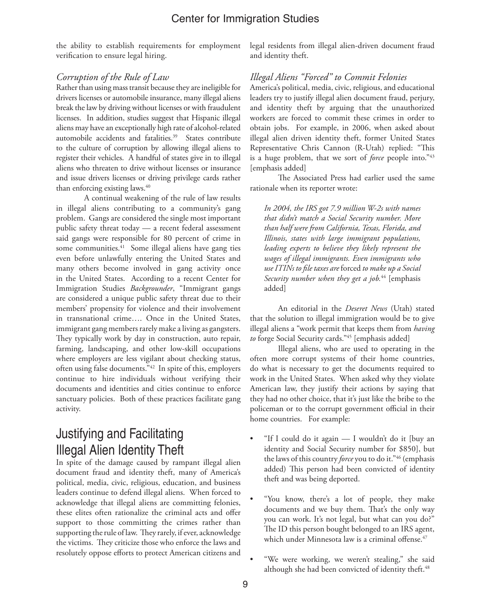the ability to establish requirements for employment verification to ensure legal hiring.

legal residents from illegal alien-driven document fraud and identity theft.

#### *Corruption of the Rule of Law*

Rather than using mass transit because they are ineligible for drivers licenses or automobile insurance, many illegal aliens break the law by driving without licenses or with fraudulent licenses. In addition, studies suggest that Hispanic illegal aliens may have an exceptionally high rate of alcohol-related automobile accidents and fatalities.<sup>39</sup> States contribute to the culture of corruption by allowing illegal aliens to register their vehicles. A handful of states give in to illegal aliens who threaten to drive without licenses or insurance and issue drivers licenses or driving privilege cards rather than enforcing existing laws.<sup>40</sup>

A continual weakening of the rule of law results in illegal aliens contributing to a community's gang problem. Gangs are considered the single most important public safety threat today — a recent federal assessment said gangs were responsible for 80 percent of crime in some communities.<sup>41</sup> Some illegal aliens have gang ties even before unlawfully entering the United States and many others become involved in gang activity once in the United States. According to a recent Center for Immigration Studies *Backgrounder*, "Immigrant gangs are considered a unique public safety threat due to their members' propensity for violence and their involvement in transnational crime…. Once in the United States, immigrant gang members rarely make a living as gangsters. They typically work by day in construction, auto repair, farming, landscaping, and other low-skill occupations where employers are less vigilant about checking status, often using false documents."42 In spite of this, employers continue to hire individuals without verifying their documents and identities and cities continue to enforce sanctuary policies. Both of these practices facilitate gang activity.

# Justifying and Facilitating Illegal Alien Identity Theft

In spite of the damage caused by rampant illegal alien document fraud and identity theft, many of America's political, media, civic, religious, education, and business leaders continue to defend illegal aliens. When forced to acknowledge that illegal aliens are committing felonies, these elites often rationalize the criminal acts and offer support to those committing the crimes rather than supporting the rule of law. They rarely, if ever, acknowledge the victims. They criticize those who enforce the laws and resolutely oppose efforts to protect American citizens and

#### *Illegal Aliens "Forced" to Commit Felonies*

America's political, media, civic, religious, and educational leaders try to justify illegal alien document fraud, perjury, and identity theft by arguing that the unauthorized workers are forced to commit these crimes in order to obtain jobs. For example, in 2006, when asked about illegal alien driven identity theft, former United States Representative Chris Cannon (R-Utah) replied: "This is a huge problem, that we sort of *force* people into."43 [emphasis added]

The Associated Press had earlier used the same rationale when its reporter wrote:

*In 2004, the IRS got 7.9 million W-2s with names that didn't match a Social Security number. More than half were from California, Texas, Florida, and Illinois, states with large immigrant populations, leading experts to believe they likely represent the wages of illegal immigrants. Even immigrants who use ITINs to file taxes are* forced *to make up a Social Security number when they get a job.*44 [emphasis added]

An editorial in the *Deseret News* (Utah) stated that the solution to illegal immigration would be to give illegal aliens a "work permit that keeps them from *having to* forge Social Security cards."45 [emphasis added]

Illegal aliens, who are used to operating in the often more corrupt systems of their home countries, do what is necessary to get the documents required to work in the United States. When asked why they violate American law, they justify their actions by saying that they had no other choice, that it's just like the bribe to the policeman or to the corrupt government official in their home countries. For example:

- "If I could do it again I wouldn't do it [buy an identity and Social Security number for \$850], but the laws of this country *force* you to do it."46 (emphasis added) This person had been convicted of identity theft and was being deported.
- "You know, there's a lot of people, they make documents and we buy them. That's the only way you can work. It's not legal, but what can you do?" The ID this person bought belonged to an IRS agent, which under Minnesota law is a criminal offense.<sup>47</sup>
- "We were working, we weren't stealing," she said although she had been convicted of identity theft.<sup>48</sup>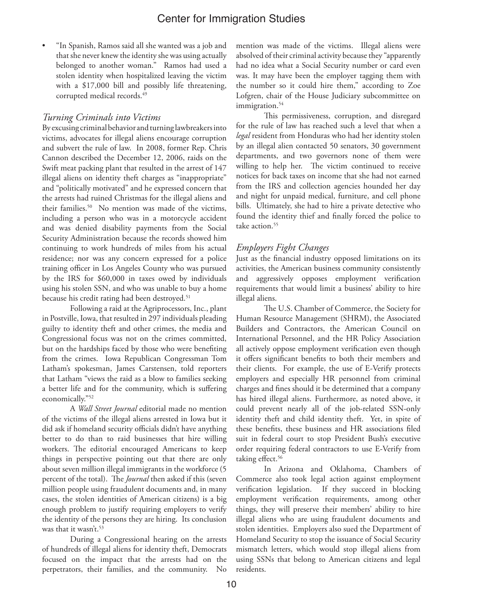• "In Spanish, Ramos said all she wanted was a job and that she never knew the identity she was using actually belonged to another woman." Ramos had used a stolen identity when hospitalized leaving the victim with a \$17,000 bill and possibly life threatening, corrupted medical records.<sup>49</sup>

#### *Turning Criminals into Victims*

By excusing criminal behavior and turning lawbreakers into victims, advocates for illegal aliens encourage corruption and subvert the rule of law. In 2008, former Rep. Chris Cannon described the December 12, 2006, raids on the Swift meat packing plant that resulted in the arrest of 147 illegal aliens on identity theft charges as "inappropriate" and "politically motivated" and he expressed concern that the arrests had ruined Christmas for the illegal aliens and their families.50 No mention was made of the victims, including a person who was in a motorcycle accident and was denied disability payments from the Social Security Administration because the records showed him continuing to work hundreds of miles from his actual residence; nor was any concern expressed for a police training officer in Los Angeles County who was pursued by the IRS for \$60,000 in taxes owed by individuals using his stolen SSN, and who was unable to buy a home because his credit rating had been destroyed.<sup>51</sup>

Following a raid at the Agriprocessors, Inc., plant in Postville, Iowa, that resulted in 297 individuals pleading guilty to identity theft and other crimes, the media and Congressional focus was not on the crimes committed, but on the hardships faced by those who were benefiting from the crimes. Iowa Republican Congressman Tom Latham's spokesman, James Carstensen, told reporters that Latham "views the raid as a blow to families seeking a better life and for the community, which is suffering economically."52

A *Wall Street Journal* editorial made no mention of the victims of the illegal aliens arrested in Iowa but it did ask if homeland security officials didn't have anything better to do than to raid businesses that hire willing workers. The editorial encouraged Americans to keep things in perspective pointing out that there are only about seven million illegal immigrants in the workforce (5 percent of the total). The *Journal* then asked if this (seven million people using fraudulent documents and, in many cases, the stolen identities of American citizens) is a big enough problem to justify requiring employers to verify the identity of the persons they are hiring. Its conclusion was that it wasn't.<sup>53</sup>

During a Congressional hearing on the arrests of hundreds of illegal aliens for identity theft, Democrats focused on the impact that the arrests had on the perpetrators, their families, and the community. No

mention was made of the victims. Illegal aliens were absolved of their criminal activity because they "apparently had no idea what a Social Security number or card even was. It may have been the employer tagging them with the number so it could hire them," according to Zoe Lofgren, chair of the House Judiciary subcommittee on immigration.<sup>54</sup>

This permissiveness, corruption, and disregard for the rule of law has reached such a level that when a *legal* resident from Honduras who had her identity stolen by an illegal alien contacted 50 senators, 30 government departments, and two governors none of them were willing to help her. The victim continued to receive notices for back taxes on income that she had not earned from the IRS and collection agencies hounded her day and night for unpaid medical, furniture, and cell phone bills. Ultimately, she had to hire a private detective who found the identity thief and finally forced the police to take action.<sup>55</sup>

#### *Employers Fight Changes*

Just as the financial industry opposed limitations on its activities, the American business community consistently and aggressively opposes employment verification requirements that would limit a business' ability to hire illegal aliens.

The U.S. Chamber of Commerce, the Society for Human Resource Management (SHRM), the Associated Builders and Contractors, the American Council on International Personnel, and the HR Policy Association all actively oppose employment verification even though it offers significant benefits to both their members and their clients. For example, the use of E-Verify protects employers and especially HR personnel from criminal charges and fines should it be determined that a company has hired illegal aliens. Furthermore, as noted above, it could prevent nearly all of the job-related SSN-only identity theft and child identity theft. Yet, in spite of these benefits, these business and HR associations filed suit in federal court to stop President Bush's executive order requiring federal contractors to use E-Verify from taking effect.<sup>56</sup>

In Arizona and Oklahoma, Chambers of Commerce also took legal action against employment verification legislation. If they succeed in blocking employment verification requirements, among other things, they will preserve their members' ability to hire illegal aliens who are using fraudulent documents and stolen identities. Employers also sued the Department of Homeland Security to stop the issuance of Social Security mismatch letters, which would stop illegal aliens from using SSNs that belong to American citizens and legal residents.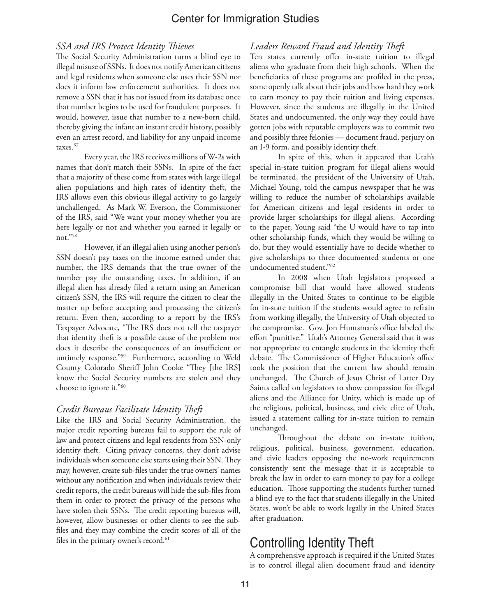#### *SSA and IRS Protect Identity Thieves*

The Social Security Administration turns a blind eye to illegal misuse of SSNs. It does not notify American citizens and legal residents when someone else uses their SSN nor does it inform law enforcement authorities. It does not remove a SSN that it has not issued from its database once that number begins to be used for fraudulent purposes. It would, however, issue that number to a new-born child, thereby giving the infant an instant credit history, possibly even an arrest record, and liability for any unpaid income taxes.<sup>57</sup>

Every year, the IRS receives millions of W-2s with names that don't match their SSNs. In spite of the fact that a majority of these come from states with large illegal alien populations and high rates of identity theft, the IRS allows even this obvious illegal activity to go largely unchallenged. As Mark W. Everson, the Commissioner of the IRS, said "We want your money whether you are here legally or not and whether you earned it legally or not."58

However, if an illegal alien using another person's SSN doesn't pay taxes on the income earned under that number, the IRS demands that the true owner of the number pay the outstanding taxes. In addition, if an illegal alien has already filed a return using an American citizen's SSN, the IRS will require the citizen to clear the matter up before accepting and processing the citizen's return. Even then, according to a report by the IRS's Taxpayer Advocate, "The IRS does not tell the taxpayer that identity theft is a possible cause of the problem nor does it describe the consequences of an insufficient or untimely response."59 Furthermore, according to Weld County Colorado Sheriff John Cooke "They [the IRS] know the Social Security numbers are stolen and they choose to ignore it."60

#### *Credit Bureaus Facilitate Identity Theft*

Like the IRS and Social Security Administration, the major credit reporting bureaus fail to support the rule of law and protect citizens and legal residents from SSN-only identity theft. Citing privacy concerns, they don't advise individuals when someone else starts using their SSN. They may, however, create sub-files under the true owners' names without any notification and when individuals review their credit reports, the credit bureaus will hide the sub-files from them in order to protect the privacy of the persons who have stolen their SSNs. The credit reporting bureaus will, however, allow businesses or other clients to see the subfiles and they may combine the credit scores of all of the files in the primary owner's record.<sup>61</sup>

#### *Leaders Reward Fraud and Identity Theft*

Ten states currently offer in-state tuition to illegal aliens who graduate from their high schools. When the beneficiaries of these programs are profiled in the press, some openly talk about their jobs and how hard they work to earn money to pay their tuition and living expenses. However, since the students are illegally in the United States and undocumented, the only way they could have gotten jobs with reputable employers was to commit two and possibly three felonies — document fraud, perjury on an I-9 form, and possibly identity theft.

In spite of this, when it appeared that Utah's special in-state tuition program for illegal aliens would be terminated, the president of the University of Utah, Michael Young, told the campus newspaper that he was willing to reduce the number of scholarships available for American citizens and legal residents in order to provide larger scholarships for illegal aliens. According to the paper, Young said "the U would have to tap into other scholarship funds, which they would be willing to do, but they would essentially have to decide whether to give scholarships to three documented students or one undocumented student."62

In 2008 when Utah legislators proposed a compromise bill that would have allowed students illegally in the United States to continue to be eligible for in-state tuition if the students would agree to refrain from working illegally, the University of Utah objected to the compromise. Gov. Jon Huntsman's office labeled the effort "punitive." Utah's Attorney General said that it was not appropriate to entangle students in the identity theft debate. The Commissioner of Higher Education's office took the position that the current law should remain unchanged. The Church of Jesus Christ of Latter Day Saints called on legislators to show compassion for illegal aliens and the Alliance for Unity, which is made up of the religious, political, business, and civic elite of Utah, issued a statement calling for in-state tuition to remain unchanged.

Throughout the debate on in-state tuition, religious, political, business, government, education, and civic leaders opposing the no-work requirements consistently sent the message that it is acceptable to break the law in order to earn money to pay for a college education. Those supporting the students further turned a blind eye to the fact that students illegally in the United States. won't be able to work legally in the United States after graduation.

# Controlling Identity Theft

A comprehensive approach is required if the United States is to control illegal alien document fraud and identity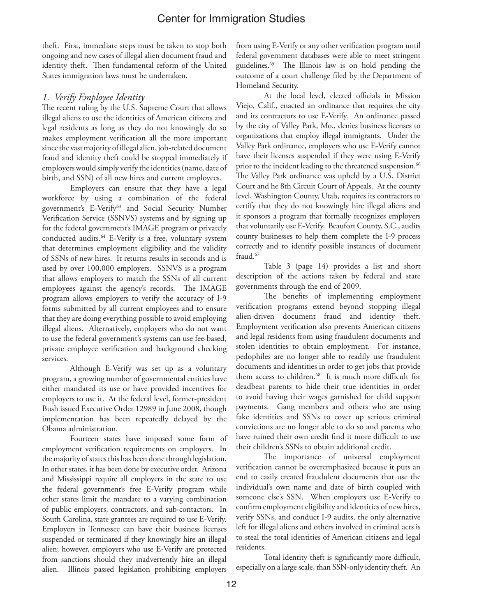theft. First, immediate steps must be taken to stop both ongoing and new cases of illegal alien document fraud and identity theft. Then fundamental reform of the United States immigration laws must be undertaken.

#### *1. Verify Employee Identity*

The recent ruling by the U.S. Supreme Court that allows illegal aliens to use the identities of American citizens and legal residents as long as they do not knowingly do so makes employment verification all the more important since the vast majority of illegal alien, job-related document fraud and identity theft could be stopped immediately if employers would simply verify the identities (name, date of birth, and SSN) of all new hires and current employees.

Employers can ensure that they have a legal workforce by using a combination of the federal government's E-Verify<sup>63</sup> and Social Security Number Verification Service (SSNVS) systems and by signing up for the federal government's IMAGE program or privately conducted audits.<sup>64</sup> E-Verify is a free, voluntary system that determines employment eligibility and the validity of SSNs of new hires. It returns results in seconds and is used by over 100,000 employers. SSNVS is a program that allows employers to match the SSNs of all current employees against the agency's records. The IMAGE program allows employers to verify the accuracy of I-9 forms submitted by all current employees and to ensure that they are doing everything possible to avoid employing illegal aliens. Alternatively, employers who do not want to use the federal government's systems can use fee-based, private employee verification and background checking services.

Although E-Verify was set up as a voluntary program, a growing number of governmental entities have either mandated its use or have provided incentives for employers to use it. At the federal level, former-president Bush issued Executive Order 12989 in June 2008, though implementation has been repeatedly delayed by the Obama administration.

Fourteen states have imposed some form of employment verification requirements on employers. In the majority of states this has been done through legislation. In other states, it has been done by executive order. Arizona and Mississippi require all employers in the state to use the federal government's free E-Verify program while other states limit the mandate to a varying combination of public employers, contractors, and sub-contactors. In South Carolina, state grantees are required to use E-Verify. Employers in Tennessee can have their business licenses suspended or terminated if they knowingly hire an illegal alien; however, employers who use E-Verify are protected from sanctions should they inadvertently hire an illegal alien. Illinois passed legislation prohibiting employers

from using E-Verify or any other verification program until federal government databases were able to meet stringent guidelines.65 The Illinois law is on hold pending the outcome of a court challenge filed by the Department of Homeland Security.

At the local level, elected officials in Mission Viejo, Calif., enacted an ordinance that requires the city and its contractors to use E-Verify. An ordinance passed by the city of Valley Park, Mo., denies business licenses to organizations that employ illegal immigrants. Under the Valley Park ordinance, employers who use E-Verify cannot have their licenses suspended if they were using E-Verify prior to the incident leading to the threatened suspension.<sup>66</sup> The Valley Park ordinance was upheld by a U.S. District Court and he 8th Circuit Court of Appeals. At the county level, Washington County, Utah, requires its contractors to certify that they do not knowingly hire illegal aliens and it sponsors a program that formally recognizes employers that voluntarily use E-Verify. Beaufort County, S.C., audits county businesses to help them complete the I-9 process correctly and to identify possible instances of document fraud.<sup>67</sup>

Table 3 (page 14) provides a list and short description of the actions taken by federal and state governments through the end of 2009.

The benefits of implementing employment verification programs extend beyond stopping illegal alien-driven document fraud and identity theft. Employment verification also prevents American citizens and legal residents from using fraudulent documents and stolen identities to obtain employment. For instance, pedophiles are no longer able to readily use fraudulent documents and identities in order to get jobs that provide them access to children.<sup>68</sup> It is much more difficult for deadbeat parents to hide their true identities in order to avoid having their wages garnished for child support payments. Gang members and others who are using fake identities and SSNs to cover up serious criminal convictions are no longer able to do so and parents who have ruined their own credit find it more difficult to use their children's SSNs to obtain additional credit.

The importance of universal employment verification cannot be overemphasized because it puts an end to easily created fraudulent documents that use the individual's own name and date of birth coupled with someone else's SSN. When employers use E-Verify to confirm employment eligibility and identities of new hires, verify SSNs, and conduct I-9 audits, the only alternative left for illegal aliens and others involved in criminal acts is to steal the total identities of American citizens and legal residents.

Total identity theft is significantly more difficult, especially on a large scale, than SSN-only identity theft. An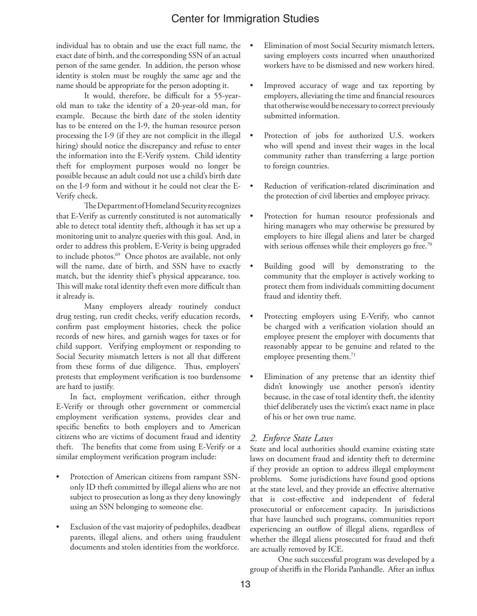individual has to obtain and use the exact full name, the exact date of birth, and the corresponding SSN of an actual person of the same gender. In addition, the person whose identity is stolen must be roughly the same age and the name should be appropriate for the person adopting it.

It would, therefore, be difficult for a 55-yearold man to take the identity of a 20-year-old man, for example. Because the birth date of the stolen identity has to be entered on the I-9, the human resource person processing the I-9 (if they are not complicit in the illegal hiring) should notice the discrepancy and refuse to enter the information into the E-Verify system. Child identity theft for employment purposes would no longer be possible because an adult could not use a child's birth date on the I-9 form and without it he could not clear the E-Verify check.

The Department of Homeland Security recognizes that E-Verify as currently constituted is not automatically able to detect total identity theft, although it has set up a monitoring unit to analyze queries with this goal. And, in order to address this problem, E-Verity is being upgraded to include photos.<sup>69</sup> Once photos are available, not only will the name, date of birth, and SSN have to exactly match, but the identity thief's physical appearance, too. This will make total identity theft even more difficult than it already is.

Many employers already routinely conduct drug testing, run credit checks, verify education records, confirm past employment histories, check the police records of new hires, and garnish wages for taxes or for child support. Verifying employment or responding to Social Security mismatch letters is not all that different from these forms of due diligence. Thus, employers' protests that employment verification is too burdensome are hard to justify.

In fact, employment verification, either through E-Verify or through other government or commercial employment verification systems, provides clear and specific benefits to both employers and to American citizens who are victims of document fraud and identity theft. The benefits that come from using E-Verify or a similar employment verification program include:

- Protection of American citizens from rampant SSNonly ID theft committed by illegal aliens who are not subject to prosecution as long as they deny knowingly using an SSN belonging to someone else.
- Exclusion of the vast majority of pedophiles, deadbeat parents, illegal aliens, and others using fraudulent documents and stolen identities from the workforce.
- Elimination of most Social Security mismatch letters, saving employers costs incurred when unauthorized workers have to be dismissed and new workers hired.
- Improved accuracy of wage and tax reporting by employers, alleviating the time and financial resources that otherwise would be necessary to correct previously submitted information.
- Protection of jobs for authorized U.S. workers who will spend and invest their wages in the local community rather than transferring a large portion to foreign countries.
- Reduction of verification-related discrimination and the protection of civil liberties and employee privacy.
- Protection for human resource professionals and hiring managers who may otherwise be pressured by employers to hire illegal aliens and later be charged with serious offenses while their employers go free.<sup>70</sup>
- Building good will by demonstrating to the community that the employer is actively working to protect them from individuals committing document fraud and identity theft.
- Protecting employers using E-Verify, who cannot be charged with a verification violation should an employee present the employer with documents that reasonably appear to be genuine and related to the employee presenting them.<sup>71</sup>
- Elimination of any pretense that an identity thief didn't knowingly use another person's identity because, in the case of total identity theft, the identity thief deliberately uses the victim's exact name in place of his or her own true name.

#### *2. Enforce State Laws*

State and local authorities should examine existing state laws on document fraud and identity theft to determine if they provide an option to address illegal employment problems. Some jurisdictions have found good options at the state level, and they provide an effective alternative that is cost-effective and independent of federal prosecutorial or enforcement capacity. In jurisdictions that have launched such programs, communities report experiencing an outflow of illegal aliens, regardless of whether the illegal aliens prosecuted for fraud and theft are actually removed by ICE.

One such successful program was developed by a group of sheriffs in the Florida Panhandle. After an influx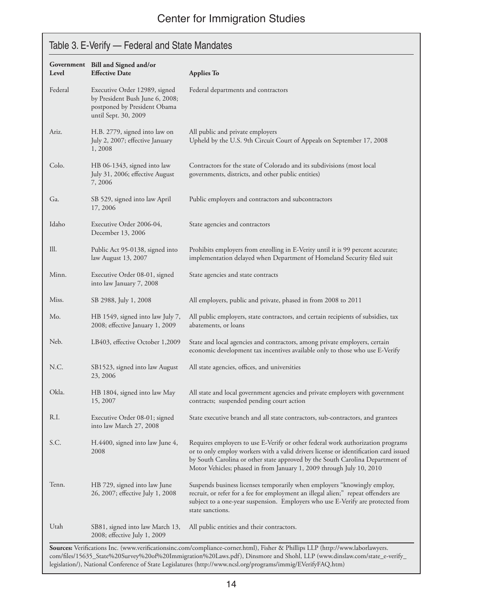# Table 3. E-Verify — Federal and State Mandates

| Level   | Government Bill and Signed and/or<br><b>Effective Date</b>                                                               | <b>Applies To</b>                                                                                                                                                                                                                                                                                                                |
|---------|--------------------------------------------------------------------------------------------------------------------------|----------------------------------------------------------------------------------------------------------------------------------------------------------------------------------------------------------------------------------------------------------------------------------------------------------------------------------|
| Federal | Executive Order 12989, signed<br>by President Bush June 6, 2008;<br>postponed by President Obama<br>until Sept. 30, 2009 | Federal departments and contractors                                                                                                                                                                                                                                                                                              |
| Ariz.   | H.B. 2779, signed into law on<br>July 2, 2007; effective January<br>1,2008                                               | All public and private employers<br>Upheld by the U.S. 9th Circuit Court of Appeals on September 17, 2008                                                                                                                                                                                                                        |
| Colo.   | HB 06-1343, signed into law<br>July 31, 2006; effective August<br>7,2006                                                 | Contractors for the state of Colorado and its subdivisions (most local<br>governments, districts, and other public entities)                                                                                                                                                                                                     |
| Ga.     | SB 529, signed into law April<br>17, 2006                                                                                | Public employers and contractors and subcontractors                                                                                                                                                                                                                                                                              |
| Idaho   | Executive Order 2006-04,<br>December 13, 2006                                                                            | State agencies and contractors                                                                                                                                                                                                                                                                                                   |
| Ill.    | Public Act 95-0138, signed into<br>law August 13, 2007                                                                   | Prohibits employers from enrolling in E-Verity until it is 99 percent accurate;<br>implementation delayed when Department of Homeland Security filed suit                                                                                                                                                                        |
| Minn.   | Executive Order 08-01, signed<br>into law January 7, 2008                                                                | State agencies and state contracts                                                                                                                                                                                                                                                                                               |
| Miss.   | SB 2988, July 1, 2008                                                                                                    | All employers, public and private, phased in from 2008 to 2011                                                                                                                                                                                                                                                                   |
| Mo.     | HB 1549, signed into law July 7,<br>2008; effective January 1, 2009                                                      | All public employers, state contractors, and certain recipients of subsidies, tax<br>abatements, or loans                                                                                                                                                                                                                        |
| Neb.    | LB403, effective October 1,2009                                                                                          | State and local agencies and contractors, among private employers, certain<br>economic development tax incentives available only to those who use E-Verify                                                                                                                                                                       |
| N.C.    | SB1523, signed into law August<br>23, 2006                                                                               | All state agencies, offices, and universities                                                                                                                                                                                                                                                                                    |
| Okla.   | HB 1804, signed into law May<br>15, 2007                                                                                 | All state and local government agencies and private employers with government<br>contracts; suspended pending court action                                                                                                                                                                                                       |
| R.I.    | Executive Order 08-01; signed<br>into law March 27, 2008                                                                 | State executive branch and all state contractors, sub-contractors, and grantees                                                                                                                                                                                                                                                  |
| S.C.    | H.4400, signed into law June 4,<br>2008                                                                                  | Requires employers to use E-Verify or other federal work authorization programs<br>or to only employ workers with a valid drivers license or identification card issued<br>by South Carolina or other state approved by the South Carolina Department of<br>Motor Vehicles; phased in from January 1, 2009 through July 10, 2010 |
| Tenn.   | HB 729, signed into law June<br>26, 2007; effective July 1, 2008                                                         | Suspends business licenses temporarily when employers "knowingly employ,<br>recruit, or refer for a fee for employment an illegal alien;" repeat offenders are<br>subject to a one-year suspension. Employers who use E-Verify are protected from<br>state sanctions.                                                            |
| Utah    | SB81, signed into law March 13,<br>2008; effective July 1, 2009                                                          | All public entities and their contractors.                                                                                                                                                                                                                                                                                       |

**Sources:** Verifications Inc. (www.verificationsinc.com/compliance-corner.html), Fisher & Phillips LLP (http://www.laborlawyers. com/files/15635\_State%20Survey%20of%20Immigration%20Laws.pdf), Dinsmore and Shohl, LLP (www.dinslaw.com/state\_e-verify\_ legislation/), National Conference of State Legislatures (http://www.ncsl.org/programs/immig/EVerifyFAQ.htm)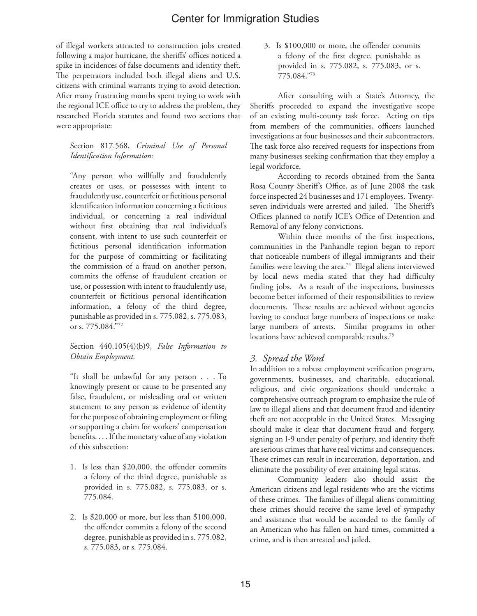of illegal workers attracted to construction jobs created following a major hurricane, the sheriffs' offices noticed a spike in incidences of false documents and identity theft. The perpetrators included both illegal aliens and U.S. citizens with criminal warrants trying to avoid detection. After many frustrating months spent trying to work with the regional ICE office to try to address the problem, they researched Florida statutes and found two sections that were appropriate:

Section 817.568, *Criminal Use of Personal Identification Information:*

"Any person who willfully and fraudulently creates or uses, or possesses with intent to fraudulently use, counterfeit or fictitious personal identification information concerning a fictitious individual, or concerning a real individual without first obtaining that real individual's consent, with intent to use such counterfeit or fictitious personal identification information for the purpose of committing or facilitating the commission of a fraud on another person, commits the offense of fraudulent creation or use, or possession with intent to fraudulently use, counterfeit or fictitious personal identification information, a felony of the third degree, punishable as provided in s. 775.082, s. 775.083, or s. 775.084."72

#### Section 440.105(4)(b)9, *False Information to Obtain Employment.*

"It shall be unlawful for any person . . . To knowingly present or cause to be presented any false, fraudulent, or misleading oral or written statement to any person as evidence of identity for the purpose of obtaining employment or filing or supporting a claim for workers' compensation benefits. . . . If the monetary value of any violation of this subsection:

- 1. Is less than \$20,000, the offender commits a felony of the third degree, punishable as provided in s. 775.082, s. 775.083, or s. 775.084.
- 2. Is \$20,000 or more, but less than \$100,000, the offender commits a felony of the second degree, punishable as provided in s. 775.082, s. 775.083, or s. 775.084.

3. Is \$100,000 or more, the offender commits a felony of the first degree, punishable as provided in s. 775.082, s. 775.083, or s. 775.084."73

After consulting with a State's Attorney, the Sheriffs proceeded to expand the investigative scope of an existing multi-county task force. Acting on tips from members of the communities, officers launched investigations at four businesses and their subcontractors. The task force also received requests for inspections from many businesses seeking confirmation that they employ a legal workforce.

According to records obtained from the Santa Rosa County Sheriff's Office, as of June 2008 the task force inspected 24 businesses and 171 employees. Twentyseven individuals were arrested and jailed. The Sheriff's Offices planned to notify ICE's Office of Detention and Removal of any felony convictions.

Within three months of the first inspections, communities in the Panhandle region began to report that noticeable numbers of illegal immigrants and their families were leaving the area.<sup>74</sup> Illegal aliens interviewed by local news media stated that they had difficulty finding jobs. As a result of the inspections, businesses become better informed of their responsibilities to review documents. These results are achieved without agencies having to conduct large numbers of inspections or make large numbers of arrests. Similar programs in other locations have achieved comparable results.75

### *3. Spread the Word*

In addition to a robust employment verification program, governments, businesses, and charitable, educational, religious, and civic organizations should undertake a comprehensive outreach program to emphasize the rule of law to illegal aliens and that document fraud and identity theft are not acceptable in the United States. Messaging should make it clear that document fraud and forgery, signing an I-9 under penalty of perjury, and identity theft are serious crimes that have real victims and consequences. These crimes can result in incarceration, deportation, and eliminate the possibility of ever attaining legal status.

Community leaders also should assist the American citizens and legal residents who are the victims of these crimes. The families of illegal aliens committing these crimes should receive the same level of sympathy and assistance that would be accorded to the family of an American who has fallen on hard times, committed a crime, and is then arrested and jailed.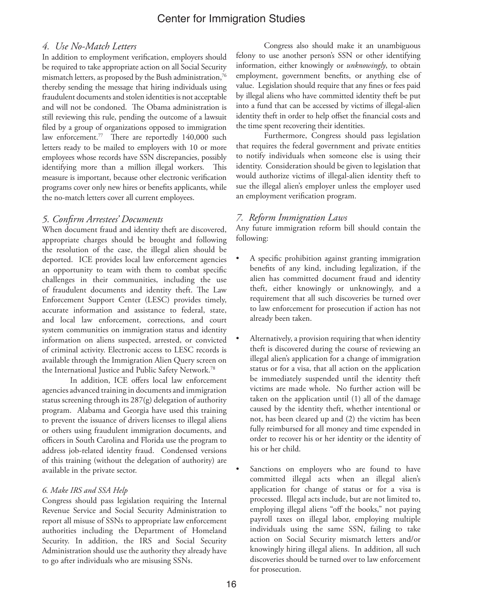#### *4. Use No-Match Letters*

In addition to employment verification, employers should be required to take appropriate action on all Social Security mismatch letters, as proposed by the Bush administration,<sup>76</sup> thereby sending the message that hiring individuals using fraudulent documents and stolen identities is not acceptable and will not be condoned. The Obama administration is still reviewing this rule, pending the outcome of a lawsuit filed by a group of organizations opposed to immigration law enforcement.<sup>77</sup> There are reportedly 140,000 such letters ready to be mailed to employers with 10 or more employees whose records have SSN discrepancies, possibly identifying more than a million illegal workers. This measure is important, because other electronic verification programs cover only new hires or benefits applicants, while the no-match letters cover all current employees.

#### *5. Confirm Arrestees' Documents*

When document fraud and identity theft are discovered, appropriate charges should be brought and following the resolution of the case, the illegal alien should be deported. ICE provides local law enforcement agencies an opportunity to team with them to combat specific challenges in their communities, including the use of fraudulent documents and identity theft. The Law Enforcement Support Center (LESC) provides timely, accurate information and assistance to federal, state, and local law enforcement, corrections, and court system communities on immigration status and identity information on aliens suspected, arrested, or convicted of criminal activity. Electronic access to LESC records is available through the Immigration Alien Query screen on the International Justice and Public Safety Network.78

In addition, ICE offers local law enforcement agencies advanced training in documents and immigration status screening through its 287(g) delegation of authority program. Alabama and Georgia have used this training to prevent the issuance of drivers licenses to illegal aliens or others using fraudulent immigration documents, and officers in South Carolina and Florida use the program to address job-related identity fraud. Condensed versions of this training (without the delegation of authority) are available in the private sector.

#### *6. Make IRS and SSA Help*

Congress should pass legislation requiring the Internal Revenue Service and Social Security Administration to report all misuse of SSNs to appropriate law enforcement authorities including the Department of Homeland Security. In addition, the IRS and Social Security Administration should use the authority they already have to go after individuals who are misusing SSNs.

Congress also should make it an unambiguous felony to use another person's SSN or other identifying information, either knowingly or *unknowingly*, to obtain employment, government benefits, or anything else of value. Legislation should require that any fines or fees paid by illegal aliens who have committed identity theft be put into a fund that can be accessed by victims of illegal-alien identity theft in order to help offset the financial costs and the time spent recovering their identities.

Furthermore, Congress should pass legislation that requires the federal government and private entities to notify individuals when someone else is using their identity. Consideration should be given to legislation that would authorize victims of illegal-alien identity theft to sue the illegal alien's employer unless the employer used an employment verification program.

#### *7. Reform Immigration Laws*

Any future immigration reform bill should contain the following:

- A specific prohibition against granting immigration benefits of any kind, including legalization, if the alien has committed document fraud and identity theft, either knowingly or unknowingly, and a requirement that all such discoveries be turned over to law enforcement for prosecution if action has not already been taken.
- Alternatively, a provision requiring that when identity theft is discovered during the course of reviewing an illegal alien's application for a change of immigration status or for a visa, that all action on the application be immediately suspended until the identity theft victims are made whole. No further action will be taken on the application until (1) all of the damage caused by the identity theft, whether intentional or not, has been cleared up and (2) the victim has been fully reimbursed for all money and time expended in order to recover his or her identity or the identity of his or her child.
- Sanctions on employers who are found to have committed illegal acts when an illegal alien's application for change of status or for a visa is processed. Illegal acts include, but are not limited to, employing illegal aliens "off the books," not paying payroll taxes on illegal labor, employing multiple individuals using the same SSN, failing to take action on Social Security mismatch letters and/or knowingly hiring illegal aliens. In addition, all such discoveries should be turned over to law enforcement for prosecution.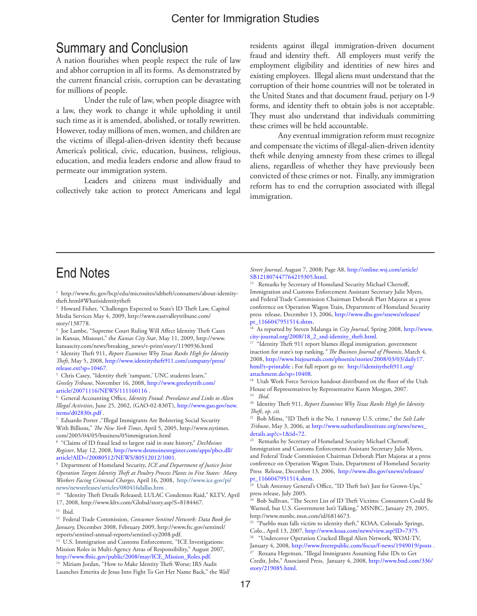# Summary and Conclusion

A nation flourishes when people respect the rule of law and abhor corruption in all its forms. As demonstrated by the current financial crisis, corruption can be devastating for millions of people.

Under the rule of law, when people disagree with a law, they work to change it while upholding it until such time as it is amended, abolished, or totally rewritten. However, today millions of men, women, and children are the victims of illegal-alien-driven identity theft because America's political, civic, education, business, religious, education, and media leaders endorse and allow fraud to permeate our immigration system.

Leaders and citizens must individually and collectively take action to protect Americans and legal

residents against illegal immigration-driven document fraud and identity theft. All employers must verify the employment eligibility and identities of new hires and existing employees. Illegal aliens must understand that the corruption of their home countries will not be tolerated in the United States and that document fraud, perjury on I-9 forms, and identity theft to obtain jobs is not acceptable. They must also understand that individuals committing these crimes will be held accountable.

Any eventual immigration reform must recognize and compensate the victims of illegal-alien-driven identity theft while denying amnesty from these crimes to illegal aliens, regardless of whether they have previously been convicted of these crimes or not. Finally, any immigration reform has to end the corruption associated with illegal immigration.

# End Notes

1 http://www.ftc.gov/bcp/edu/microsites/idtheft/consumers/about-identitytheft.html#Whatisidentitytheft

2 Howard Fisher, "Challenges Expected to State's ID Theft Law, Capitol Media Services May 4, 2009, http://www.eastvalleytribune.com/ story/138778.

3 Joe Lambe, "Supreme Court Ruling Will Affect Identity Theft Cases in Kansas, Missouri," the *Kansas City Star*, May 11, 2009, http://www. kansascity.com/news/breaking\_news/v-print/story/1190936.html

4 Identity Theft 911, *Report Examines Why Texas Ranks High for Identity Theft*, May 5, 2008, http://www.identitytheft911.com/company/press/ release.ext?sp=10467.

5 Chris Casey, "Identity theft 'rampant,' UNC students learn," *Greeley Tribune*, November 16, 2008, http://www.greeleytrib.com/ article/20071116/NEWS/111160116 .

6 General Accounting Office, *Identity Fraud: Prevelance and Links to Alien Illegal Activities*, June 25, 2002, (GAO-02-830T), http://www.gao.gov/new. items/d02830t.pdf .

7 Eduardo Porter ,"Illegal Immigrants Are Bolstering Social Security With Billions," *The New York Times*, April 5, 2005, http://www.nytimes. com/2005/04/05/business/05immigration.html

8 "Claims of ID fraud lead to largest raid in state history," *DesMoines Register*, May 12, 2008, http://www.desmoinesregister.com/apps/pbcs.dll/ article?AID=/20080512/NEWS/80512012/1001.

9 Department of Homeland Security, *ICE and Department of Justice Joint Operation Targets Identity Theft at Poultry Process Plants in Five States: Many Workers Facing Criminal Charges*, April 16, 2008, http://www.ice.gov/pi/ news/newsreleases/articles/080416dallas.htm . 10 "Identity Theft Details Released; LULAC Condemns Raid," KLTV, April

17, 2008, http://www.kltv.com/Global/story.asp?S=8184467.

<sup>11</sup> Ibid.

12 Federal Trade Commission, *Consumer Sentinel Network: Data Book for January,* December 2008, February 2009, http://www.ftc.gov/sentinel/ reports/sentinel-annual-reports/sentinel-cy2008.pdf.

<sup>13</sup> U.S. Immigration and Customs Enforcement, "ICE Investigations: Mission Roles in Multi-Agency Areas of Responsibility," August 2007, http://www.fbiic.gov/public/2008/may/ICE\_Mission\_Roles.pdf.

<sup>14</sup> Miriam Jordan, "How to Make Identity Theft Worse; IRS Audit Launches Emerita de Jesus Into Fight To Get Her Name Back," the *Wall*  *Street Journal*, August 7, 2008; Page A8, http://online.wsj.com/article/ SB121807447764219305.html.

Remarks by Secretary of Homeland Security Michael Chertoff, Immigration and Customs Enforcement Assistant Secretary Julie Myers, and Federal Trade Commission Chairman Deborah Platt Majoras at a press conference on Operation Wagon Train, Department of Homeland Security press release, December 13, 2006, http://www.dhs.gov/xnews/releases/ pr\_1166047951514.shtm.

16 As reported by Steven Malanga in *City Journal*, Spring 2008, http://www.

city-journal.org/2008/18\_2\_snd-identity\_theft.html. 17 "Identity Theft 911 report blames illegal immigration, government inaction for state's top ranking*," The Business Journal of Phoenix*, March 4, 2008, http://www.bizjournals.com/phoenix/stories/2008/03/03/daily17. html?t=printable ; For full report go to: http://identitytheft911.org/ attachment.do?sp=10408.

<sup>18</sup> Utah Work Force Services handout distributed on the floor of the Utah House of Representatives by Representative Karen Morgan, 2007. 19 *Ibid*.

20 Identity Theft 911, *Report Examines Why Texas Ranks High for Identity Theft*, *op. cit.*

21 Bob Mims, "ID Theft is the No. 1 runaway U.S. crime," the *Salt Lake Tribune*, May 3, 2006, at http://www.sutherlandinstitute.org/news/news\_

<sup>22</sup> Remarks by Secretary of Homeland Security Michael Chertoff, Immigration and Customs Enforcement Assistant Secretary Julie Myers, and Federal Trade Commission Chairman Deborah Platt Majoras at a press conference on Operation Wagon Train, Department of Homeland Security Press Release, December 13, 2006, http://www.dhs.gov/xnews/releases/ pr\_1166047951514.shtm.

<sup>23</sup> Utah Attorney General's Office, "ID Theft Isn't Just for Grown-Ups," press release, July 2005.

24 Bob Sullivan, "The Secret List of ID Theft Victims: Consumers Could Be Warned, but U.S. Government Isn't Talking," MSNBC, January 29, 2005, http://www.msnbc.msn.com/id/6814673.

<sup>25</sup> "Pueblo man falls victim to identity theft," KOAA, Colorado Springs, Colo., April 13, 2007, http://www.koaa.com/news/view.asp?ID=7375. 26 "Undercover Operation Cracked Illegal Alien Network, WOAI-TV,

January 4, 2008, http://www.freerepublic.com/focus/f-news/1949019/posts.

27 Roxana Hegeman, "Illegal Immigrants Assuming False IDs to Get Credit, Jobs," Associated Press, January 4, 2008, http://www.bnd.com/336/ story/219085.html.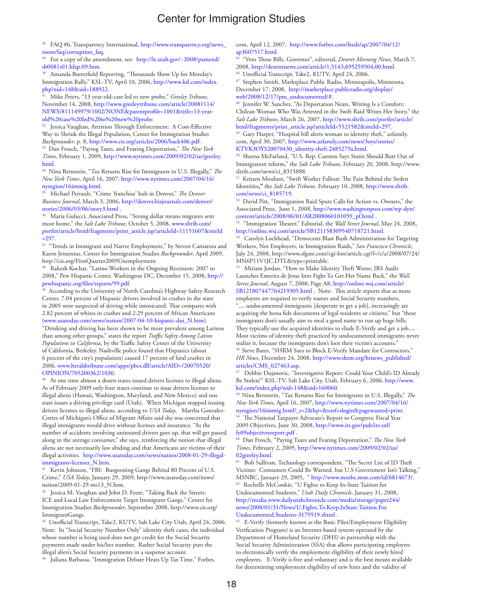<sup>28</sup> FAQ #6, Transparency International, http://www.transparency.org/news\_ room/faq/corruption\_faq.<br><sup>29</sup> For a copy of the amendment, see: http://le.utah.gov/~2008/pamend/

sb0081s01.hfap.09.htm.<br><sup>30</sup> Amanda Butterfield Reporting, "Thousands Show Up for Monday's

Immigration Rally," KSL-TV, April 10, 2006, http://www.ksl.com/index. php?nid=148&sid=188922.

31 Mike Peters, "13 year-old-case led to new probe," *Greeley Tribune*, November 14, 2008, http://www.greeleytribune.com/article/20081114/ NEWS/811149979/1002/NONE&parentprofile=1001&title=13-yearold%20case%20led%20to%20new%20probe.

32 Jessica Vaughan, Attrition Through Enforcement: A Cost-Effective Way to Shrink the Illegal Population, Center for Immigration Studies<br>Backgrounder, p. 8, http://www.cis.org/articles/2006/back406.pdf.

<sup>33</sup> Dan Frosch, "Paying Taxes, and Fearing Deportation," *The New York Times,* February 1, 2009, http://www.nytimes.com/2009/02/02/us/greeley. html. 34 Nina Bernstein, "Tax Returns Rise for Immigrants in U.S. Illegally," *The* 

*New York Times*, April 16, 2007, http://www.nytimes.com/2007/04/16/ nyregion/16immig.html.

35 Michael Perrault, "Crime 'franchise' hub in Denver," *The Denver Business Journal*, March 3, 2006, http://denver.bizjournals.com/denver/ stories/2006/03/06/story3.html .

<sup>36</sup> Maria Gulucci, Associated Press, "Strong dollar means migrants sent more home," the *Salt Lake Tribune*, October 5, 2008, www.sltrib.com/ portlet/article/html/fragments/print\_article.jsp?articleId=11151607&siteId  $=297.$ 

 $^{37}$  "Trends in Immigrant and Native Employment," by Steven Camarota and Karen Jensenius, Center for Immigration Studies *Backgrounder*, April 2009, http://cis.org/FirstQuarter2009Unemployment

38 Rakesh Kochar, "Latino Workers in the Ongoing Recession: 2007 to 2008," Pew Hispanic Center, Washington DC, December 15, 2008, http://

<sup>39</sup> According to the University of North Carolina's Highway Safety Research Center, 7.04 percent of Hispanic drivers involved in crashes in the state in 2005 were suspected of driving while intoxicated. That compares with 2.82 percent of whites in crashes and 2.29 percent of African Americans (www.usatoday.com/news/nation/2007-04-10-hispanic-dui\_N.htm).

"Drinking and driving has been shown to be more prevalent among Latinos than among other groups," states the report *Traffic Safety Among Latino Populations in California*, by the Traffic Safety Center of the University of California, Berkeley. Nashville police found that Hispanics (about 6 percent of the city's population) caused 17 percent of fatal crashes in 2006. www.heraldtribune.com/apps/pbcs.dll/article?AID=/20070520/ OPINION/705200362/1030.

<sup>40</sup> At one time almost a dozen states issued drivers licenses to illegal aliens. As of February 2009 only four states continue to issue drivers licenses to illegal aliens (Hawaii, Washington, Maryland, and New Mexico) and one state issues a driving privilege card (Utah). When Michigan stopped issuing drivers licenses to illegal aliens, according to *USA Today*, Martha Gonzalez-Cortes of Michigan's Office of Migrant Affairs said she was concerned that illegal immigrants would drive without licenses and insurance. "As the number of accidents involving uninsured drivers goes up, that will get passed along to the average consumer," she says, reinforcing the notion that illegal aliens are not necessarily law abiding and that Americans are victims of their illegal activities. http://www.usatoday.com/news/nation/2008-01-29-illegalimmigrants-licenses\_N.htm.<br><sup>41</sup> Kevin Johnson, "FBI: Burgeoning Gangs Behind 80 Precent of U.S.

Crime," *USA Today*, January 29, 2009, http://www.usatoday.com/news/ nation/2009-01-29-ms13\_N.htm.

<sup>42</sup> Jessica M. Vaughan and John D. Feere, "Taking Back the Streets: ICE and Local Law Enforcement Target Immigrant Gangs," Center for Immigration Studies *Backgrounder*, September 2008, http://www.cis.org/ ImmigrantGangs.

43 Unofficial Transcript, Take2, KUTV, Salt Lake City Utah, April 24, 2006. Note: In "Social Security Number Only" identity theft cases, the individual whose number is being used does not get credit for the Social Security payments made under his/her number. Rather Social Security puts the illegal alien's Social Security payments in a suspense account.

<sup>44</sup> Juliana Barbassa, "Immigration Debate Heats Up Tax Time," Forbes.

com, April 12, 2007, http://www.forbes.com/feeds/ap/2007/04/12/ ap3607517.html.

45 "Veto These Bills, Governor", editorial, *Deseret Morning News*, March 7, 2008, http://deseretnews.com/article/1,5143,695259504,00.html. 46 Unofficial Transcript, Take2, KUTV, April 24, 2006.

47 Stephen Smith, Marktplace Public Radio, Minneapolis, Minnesota, December 17, 2008, http://marketplace.publicradio.org/display/ web/2008/12/17/pm\_undocumented/#.

<sup>48</sup> Jennifer W. Sanchez, "As Deportation Nears, Writing Is a Comfort; Chilean Woman Who Was Arrested in the Swift Raid Writes Her Story," the *Salt Lake Tribune*, March 26, 2007, http://www.sltrib.com/portlet/article/ html/fragments/print\_article.jsp?articleId=5521582&siteId=297.

49 Gary Harper, "Hospital bill alerts woman to identity theft," azfamily. com, April 30, 2007, http://www.azfamily.com/news/3oys/stories/ KTVK3OYS20070430\_identity-theft.2485279a.html.

50 Sheena McFarland, "U.S. Rep. Cannon Says States Should Butt Out of Immigration reform," the *Salt Lake Tribune,* February 20, 2008, http://www. sltrib.com/news/ci\_8315888.

51 Kristen Moulton, "Swift Worker Fallout: The Pain Behind the Stolen Identities**,"** the *Salt Lake Tribune,* February 10, 2008, http://www.sltrib. com/news/ci\_8185719.

52 David Pitt, "Immigration Raid Spurs Calls for Action vs. Owners," the Associated Press, June 1, 2008, http://www.washingtonpost.com/wp-dyn/ content/article/2008/06/01/AR2008060101059\_pf.html .

53 "Immigration Theater," Editorial, the *Wall Street Journal*, May 24, 2008, http://online.wsj.com/article/SB121158309540718721.html.

54 Carolyn Lochhead, "Democrats Blast Bush Administration for Targeting Workers, Not Employers, in Immigration Raids," *San Francisco Chronicle,* July 24, 2008, http://www.sfgate.com/cgi-bin/article.cgi?f=/c/a/2008/07/24/ MN6P11V1JC.DTL&type=printable.

55 Miriam Jordan, "How to Make Identity Theft Worse; IRS Audit Launches Emerita de Jesus Into Fight To Get Her Name Back," the *Wall Street Journal*, August 7, 2008; Page A8, http://online.wsj.com/article/ SB121807447764219305.html . Note: This article reports that as more employers are required to verify names and Social Security numbers, ".... undocumented immigrants [desperate to get a job], increasingly are acquiring the bona fide documents of legal residents or citizens," but "these immigrants don't usually aim to steal a good name to run up huge bills. They typically use the acquired identities to elude E-Verify and get a job... Most victims of identity theft practiced by undocumented immigrants never realize it, because the immigrants don't loot their victim's accounts." 56 Steve Bates, "SHRM Sues to Block E-Verify Mandate for Contractors," *HR News*, December 24, 2008, http://www.shrm.org/hrnews\_published/ articles/CMS\_027463.asp.

57 Debbie Dujanovic, "Investigative Report: Could Your Child's ID Already Be Stolen?" KSL-TV, Salt Lake City, Utah, February 6, 2006, http://www. ksl.com/index.php?nid=148&sid=160060.

58 Nina Bernstein, "Tax Returns Rise for Immigrants in U.S. Illegally," *The New York Times*, April 16, 2007, http://www.nytimes.com/2007/04/16/ nyregion/16immig.html?\_r=2&hp=&oref=slogin&pagewanted=print.

<sup>59</sup> The National Taxpayer Advocate's Report to Congress: Fiscal Year 2009 Objectives, June 30, 2008, http://www.irs.gov/pub/irs-utl/ fy09objectivesreport.pdf .

60 Dan Frosch, "Paying Taxes and Fearing Deportation," *The New York Times*, February 2, 2009, http://www.nytimes.com/2009/02/02/us/ 02greeley.html.

61 Bob Sullivan, Technology correspondent, "The Secret List of ID Theft Victims: Consumers Could Be Warned, but U.S Government Isn't Talking," MSNBC, January 29, 2005, " http://www.msnbc.msn.com/id/6814673/. Rochelle McConkie, "U Fights to Keep In-State Tuition for Undocumented Students," *Utah Daily Chronicle*, January 31, 2008, http://media.www.dailyutahchronicle.com/media/storage/paper244/

news/2008/01/31/News/U.Fights.To.Keep.InState.Tuition.For. Undocumented.Students-3179519.shtml .

63 E-Verify (formerly known as the Basic Pilot/Employment Eligibility Verification Program) is an Internet-based system operated by the Department of Homeland Security (DHS) in partnership with the Social Security Administration (SSA) that allows participating employers to electronically verify the employment eligibility of their newly hired employees. E-Verify is free and voluntary and is the best means available for determining employment eligibility of new hires and the validity of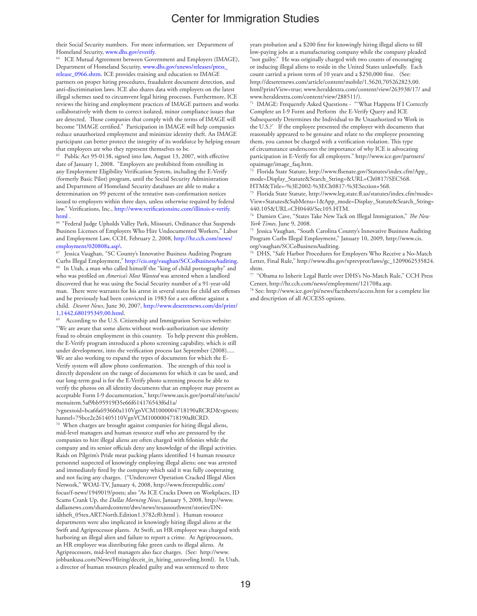their Social Security numbers. For more information, see Department of Homeland Security, www.dhs.gov/everify.<br><sup>64</sup> ICE Mutual Agreement between Government and Employers (IMAGE),

Department of Homeland Security, www.dhs.gov/xnews/releases/press\_

release\_0966.shtm. ICE provides training and education to IMAGE partners on proper hiring procedures, fraudulent document detection, and anti-discrimination laws. ICE also shares data with employers on the latest illegal schemes used to circumvent legal hiring processes. Furthermore, ICE reviews the hiring and employment practices of IMAGE partners and works collaboratively with them to correct isolated, minor compliance issues that are detected. Those companies that comply with the terms of IMAGE will become "IMAGE certified." Participation in IMAGE will help companies reduce unauthorized employment and minimize identity theft. An IMAGE participant can better protect the integrity of its workforce by helping ensure that employees are who they represent themselves to be.

65 Public Act 95-0138, signed into law, August 13, 2007, with effective date of January 1, 2008. "Employers are prohibited from enrolling in any Employment Eligibility Verification System, including the E-Verify (formerly Basic Pilot) program, until the Social Security Administration and Department of Homeland Security databases are able to make a determination on 99 percent of the tentative non-confirmation notices issued to employers within three days, unless otherwise required by federal law." Verifications, Inc., http://www.verificationsinc.com/illinois-e-verify. html .

66 "Federal Judge Upholds Valley Park, Missouri, Ordinance that Suspends Business Licenses of Employers Who Hire Undocumented Workers," Labor and Employment Law, CCH, February 2, 2008, http://hr.cch.com/news/ employment/020808a.asp\.

 $\frac{67}{1}$  Jessica Vaughan, "SC County's Innovative Business Auditing Program Curbs Illegal Employment," http://cis.org/vaughan/SCCoBusinessAuditing. <sup>68</sup> In Utah, a man who called himself the "king of child pornography" and who was profiled on *America's Most Wanted* was arrested when a landlord discovered that he was using the Social Security number of a 91-year-old man. There were warrants for his arrest in several states for child sex offenses and he previously had been convicted in 1983 for a sex offense against a child. *Deseret News*, June 30, 2007, http://www.deseretnews.com/dn/print/ 1,1442,680195349,00.html.

According to the U.S. Citizenship and Immigration Services website: "We are aware that some aliens without work-authorization use identity fraud to obtain employment in this country. To help prevent this problem, the E-Verify program introduced a photo screening capability, which is still under development, into the verification process last September (2008)..... We are also working to expand the types of documents for which the E-Verify system will allow photo confirmation. The strength of this tool is directly dependent on the range of documents for which it can be used, and our long-term goal is for the E-Verify photo screening process be able to verify the photos on all identity documents that an employee may present as acceptable Form I-9 documentation," http://www.uscis.gov/portal/site/uscis/ menuitem.5af9bb95919f35e66f614176543f6d1a/

?vgnextoid=bca6fa693660a110VgnVCM1000004718190aRCRD&vgnextc hannel=75bce2e261405110VgnVCM1000004718190aRCRD.

70 When charges are brought against companies for hiring illegal aliens, mid-level managers and human resource staff who are pressured by the companies to hire illegal aliens are often charged with felonies while the company and its senior officials deny any knowledge of the illegal activities. Raids on Pilgrim's Pride meat packing plants identified 14 human resource personnel suspected of knowingly employing illegal aliens; one was arrested and immediately fired by the company which said it was fully cooperating and not facing any charges. ("Undercover Operation Cracked Illegal Alien Network," WOAI-TV, January 4, 2008, http://www.freerepublic.com/ focus/f-news/1949019/posts; also "As ICE Cracks Down on Workplaces, ID Scams Crank Up, the *Dallas Morning News*, January 5, 2008, http://www. dallasnews.com/sharedcontent/dws/news/texassouthwest/stories/DNidtheft\_05tex.ART.North.Edition1.3782cf0.html ). Human resource departments were also implicated in knowingly hiring illegal aliens at the Swift and Agriprocessor plants. At Swift, an HR employee was charged with harboring an illegal alien and failure to report a crime. At Agriprocessors, an HR employee was distributing fake green cards to illegal aliens. At Agriprocessors, mid-level managers also face charges. (See: http://www. jobbankusa.com/News/Hiring/deceit\_in\_hiring\_unraveling.html). In Utah, a director of human resources pleaded guilty and was sentenced to three

years probation and a \$200 fine for knowingly hiring illegal aliens to fill low-paying jobs at a manufacturing company while the company pleaded "not guilty." He was originally charged with two counts of encouraging or inducing illegal aliens to reside in the United States unlawfully. Each count carried a prison term of 10 years and a \$250,000 fine. (See: http://deseretnews.com/article/content/mobile/1,5620,705262823,00. html?printView=true; www.heraldextra.com/content/view/263938/17/ and www.heraldextra.com/content/view/288511/).

71 IMAGE: Frequently Asked Questions - "'What Happens If I Correctly Complete an I-9 Form and Perform the E-Verify Query and ICE Subsequently Determines the Individual to Be Unauthorized to Work in the U.S.?' If the employee presented the employer with documents that reasonably appeared to be genuine and relate to the employee presenting them, you cannot be charged with a verification violation. This type of circumstance underscores the importance of why ICE is advocating participation in E-Verify for all employers." http://www.ice.gov/partners/ opaimage/image\_faq.htm.<br><sup>72</sup> Florida State Statute, http://www.flsenate.gov/Statutes/index.cfm?App\_

mode=Display\_Statute&Search\_String=&URL=Ch0817/SEC568. HTM&Title=-%3E2002-%3ECh0817-%3ESection+568.<br><sup>73</sup> Florida State Statute, http://www.leg.state.fl.us/statutes/index.cfm?mode=

View+Statutes&SubMenu=1&App\_mode=Display\_Statute&Search\_String= 440.105&URL=CH0440/Sec105.HTM. 74 Damien Cave, "States Take New Tack on Illegal Immigration," *The New* 

*York Times,* June 9, 2008.<br><sup>75</sup> Jessica Vaughan, "South Carolina County's Innovative Business Auditing

Program Curbs Illegal Employment," January 10, 2009, http://www.cis.

org/vaughan/SCCoBusinessAuditing. 76 DHS, "Safe Harbor Procedures for Employers Who Receive a No-Match Letter, Final Rule," http://www.dhs.gov/xprevprot/laws/gc\_1209062535824.

shtm.<br><sup>77</sup> "Obama to Inherit Legal Battle over DHS's No-Match Rule," CCH Press Center, http://hr.cch.com/news/employment/121708a.asp.<br><sup>78</sup> See: http://www.ice.gov/pi/news/factsheets/access.htm for a complete list

and description of all ACCESS options.